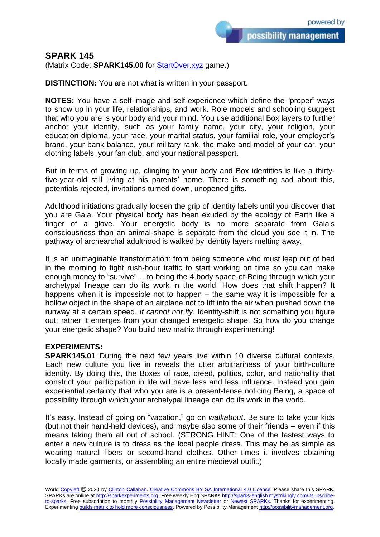## **SPARK 145**

(Matrix Code: **SPARK145.00** for **StartOver.xyz** game.)

**DISTINCTION:** You are not what is written in your passport.

**NOTES:** You have a self-image and self-experience which define the "proper" ways to show up in your life, relationships, and work. Role models and schooling suggest that who you are is your body and your mind. You use additional Box layers to further anchor your identity, such as your family name, your city, your religion, your education diploma, your race, your marital status, your familial role, your employer's brand, your bank balance, your military rank, the make and model of your car, your clothing labels, your fan club, and your national passport.

But in terms of growing up, clinging to your body and Box identities is like a thirtyfive-year-old still living at his parents' home. There is something sad about this, potentials rejected, invitations turned down, unopened gifts.

Adulthood initiations gradually loosen the grip of identity labels until you discover that you are Gaia. Your physical body has been exuded by the ecology of Earth like a finger of a glove. Your energetic body is no more separate from Gaia's consciousness than an animal-shape is separate from the cloud you see it in. The pathway of archearchal adulthood is walked by identity layers melting away.

It is an unimaginable transformation: from being someone who must leap out of bed in the morning to fight rush-hour traffic to start working on time so you can make enough money to "survive"… to being the 4 body space-of-Being through which your archetypal lineage can do its work in the world. How does that shift happen? It happens when it is impossible not to happen – the same way it is impossible for a hollow object in the shape of an airplane not to lift into the air when pushed down the runway at a certain speed. *It cannot not fly*. Identity-shift is not something you figure out; rather it emerges from your changed energetic shape. So how do you change your energetic shape? You build new matrix through experimenting!

## **EXPERIMENTS:**

**SPARK145.01** During the next few years live within 10 diverse cultural contexts. Each new culture you live in reveals the utter arbitrariness of your birth-culture identity. By doing this, the Boxes of race, creed, politics, color, and nationality that constrict your participation in life will have less and less influence. Instead you gain experiential certainty that who you are is a present-tense noticing Being, a space of possibility through which your archetypal lineage can do its work in the world.

It's easy. Instead of going on "vacation," go on *walkabout*. Be sure to take your kids (but not their hand-held devices), and maybe also some of their friends – even if this means taking them all out of school. (STRONG HINT: One of the fastest ways to enter a new culture is to dress as the local people dress. This may be as simple as wearing natural fibers or second-hand clothes. Other times it involves obtaining locally made garments, or assembling an entire medieval outfit.)

World [Copyleft](https://en.wikipedia.org/wiki/Copyleft) <sup>5</sup> 2020 by [Clinton Callahan.](http://clintoncallahan.mystrikingly.com/) [Creative Commons BY SA International 4.0 License.](https://creativecommons.org/licenses/by-sa/4.0/) Please share this SPARK. SPARKs are online at [http://sparkexperiments.org.](http://sparks-english.mystrikingly.com/) Free weekly Eng SPARKs [http://sparks-english.mystrikingly.com/#subscribe](http://sparks-english.mystrikingly.com/#subscribe-to-sparks)[to-sparks.](http://sparks-english.mystrikingly.com/#subscribe-to-sparks) Free subscription to monthly [Possibility Management Newsletter](https://possibilitymanagement.org/news/) or [Newest SPARKs.](https://www.clintoncallahan.org/newsletter-1) Thanks for experimenting. Experimentin[g builds matrix to hold more consciousness.](http://spaceport.mystrikingly.com/) Powered by Possibility Managemen[t http://possibilitymanagement.org.](http://possibilitymanagement.org/)